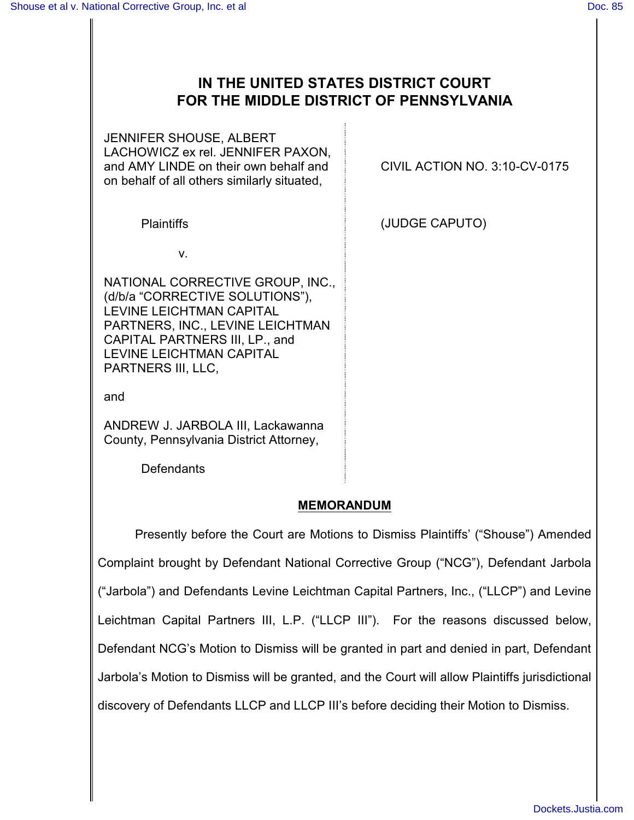# **IN THE UNITED STATES DISTRICT COURT FOR THE MIDDLE DISTRICT OF PENNSYLVANIA**

JENNIFER SHOUSE, ALBERT LACHOWICZ ex rel. JENNIFER PAXON, and AMY LINDE on their own behalf and on behalf of all others similarly situated,

CIVIL ACTION NO. 3:10-CV-0175

Plaintiffs (JUDGE CAPUTO)

v.

NATIONAL CORRECTIVE GROUP, INC., (d/b/a "CORRECTIVE SOLUTIONS"), LEVINE LEICHTMAN CAPITAL PARTNERS, INC., LEVINE LEICHTMAN CAPITAL PARTNERS III, LP., and LEVINE LEICHTMAN CAPITAL PARTNERS III, LLC,

and

ANDREW J. JARBOLA III, Lackawanna County, Pennsylvania District Attorney,

**Defendants** 

### **MEMORANDUM**

Presently before the Court are Motions to Dismiss Plaintiffs' ("Shouse") Amended Complaint brought by Defendant National Corrective Group ("NCG"), Defendant Jarbola ("Jarbola") and Defendants Levine Leichtman Capital Partners, Inc., ("LLCP") and Levine Leichtman Capital Partners III, L.P. ("LLCP III"). For the reasons discussed below, Defendant NCG's Motion to Dismiss will be granted in part and denied in part, Defendant Jarbola's Motion to Dismiss will be granted, and the Court will allow Plaintiffs jurisdictional discovery of Defendants LLCP and LLCP III's before deciding their Motion to Dismiss.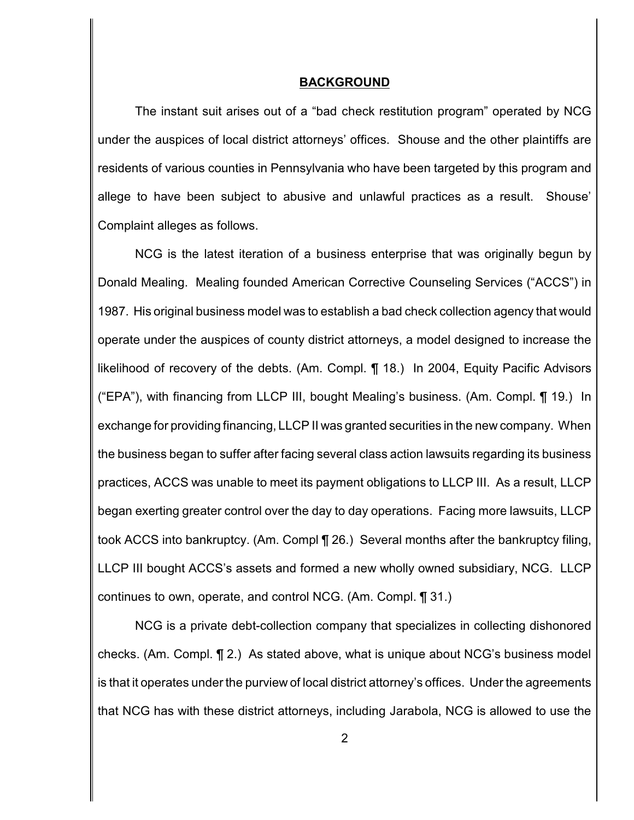#### **BACKGROUND**

The instant suit arises out of a "bad check restitution program" operated by NCG under the auspices of local district attorneys' offices. Shouse and the other plaintiffs are residents of various counties in Pennsylvania who have been targeted by this program and allege to have been subject to abusive and unlawful practices as a result. Shouse' Complaint alleges as follows.

NCG is the latest iteration of a business enterprise that was originally begun by Donald Mealing. Mealing founded American Corrective Counseling Services ("ACCS") in 1987. His original business model was to establish a bad check collection agency that would operate under the auspices of county district attorneys, a model designed to increase the likelihood of recovery of the debts. (Am. Compl. ¶ 18.) In 2004, Equity Pacific Advisors ("EPA"), with financing from LLCP III, bought Mealing's business. (Am. Compl. ¶ 19.) In exchange for providing financing, LLCP II was granted securities in the new company. When the business began to suffer after facing several class action lawsuits regarding its business practices, ACCS was unable to meet its payment obligations to LLCP III. As a result, LLCP began exerting greater control over the day to day operations. Facing more lawsuits, LLCP took ACCS into bankruptcy. (Am. Compl ¶ 26.) Several months after the bankruptcy filing, LLCP III bought ACCS's assets and formed a new wholly owned subsidiary, NCG. LLCP continues to own, operate, and control NCG. (Am. Compl. ¶ 31.)

NCG is a private debt-collection company that specializes in collecting dishonored checks. (Am. Compl. ¶ 2.) As stated above, what is unique about NCG's business model is that it operates under the purview of local district attorney's offices. Under the agreements that NCG has with these district attorneys, including Jarabola, NCG is allowed to use the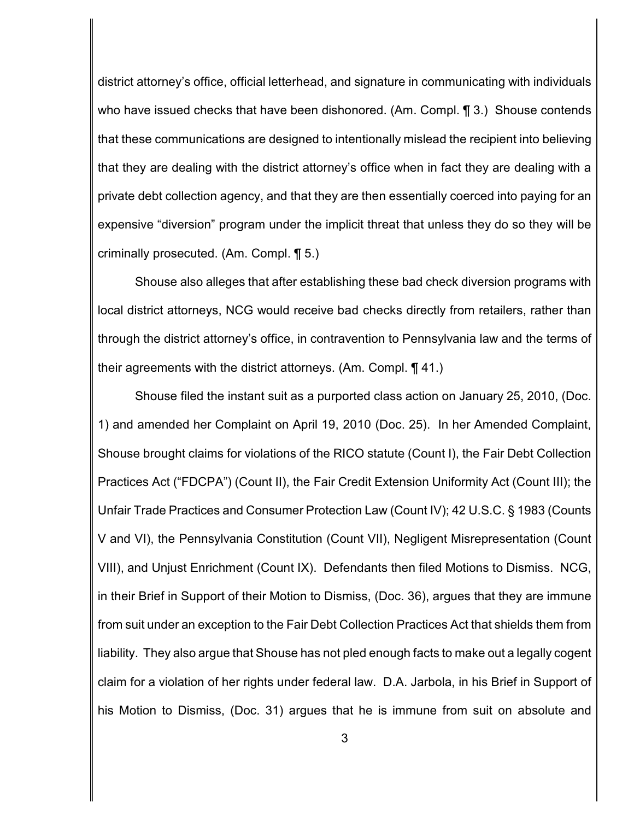district attorney's office, official letterhead, and signature in communicating with individuals who have issued checks that have been dishonored. (Am. Compl. 1 3.) Shouse contends that these communications are designed to intentionally mislead the recipient into believing that they are dealing with the district attorney's office when in fact they are dealing with a private debt collection agency, and that they are then essentially coerced into paying for an expensive "diversion" program under the implicit threat that unless they do so they will be criminally prosecuted. (Am. Compl. ¶ 5.)

Shouse also alleges that after establishing these bad check diversion programs with local district attorneys, NCG would receive bad checks directly from retailers, rather than through the district attorney's office, in contravention to Pennsylvania law and the terms of their agreements with the district attorneys. (Am. Compl. ¶ 41.)

Shouse filed the instant suit as a purported class action on January 25, 2010, (Doc. 1) and amended her Complaint on April 19, 2010 (Doc. 25). In her Amended Complaint, Shouse brought claims for violations of the RICO statute (Count I), the Fair Debt Collection Practices Act ("FDCPA") (Count II), the Fair Credit Extension Uniformity Act (Count III); the Unfair Trade Practices and Consumer Protection Law (Count IV); 42 U.S.C. § 1983 (Counts V and VI), the Pennsylvania Constitution (Count VII), Negligent Misrepresentation (Count VIII), and Unjust Enrichment (Count IX). Defendants then filed Motions to Dismiss. NCG, in their Brief in Support of their Motion to Dismiss, (Doc. 36), argues that they are immune from suit under an exception to the Fair Debt Collection Practices Act that shields them from liability. They also argue that Shouse has not pled enough facts to make out a legally cogent claim for a violation of her rights under federal law. D.A. Jarbola, in his Brief in Support of his Motion to Dismiss, (Doc. 31) argues that he is immune from suit on absolute and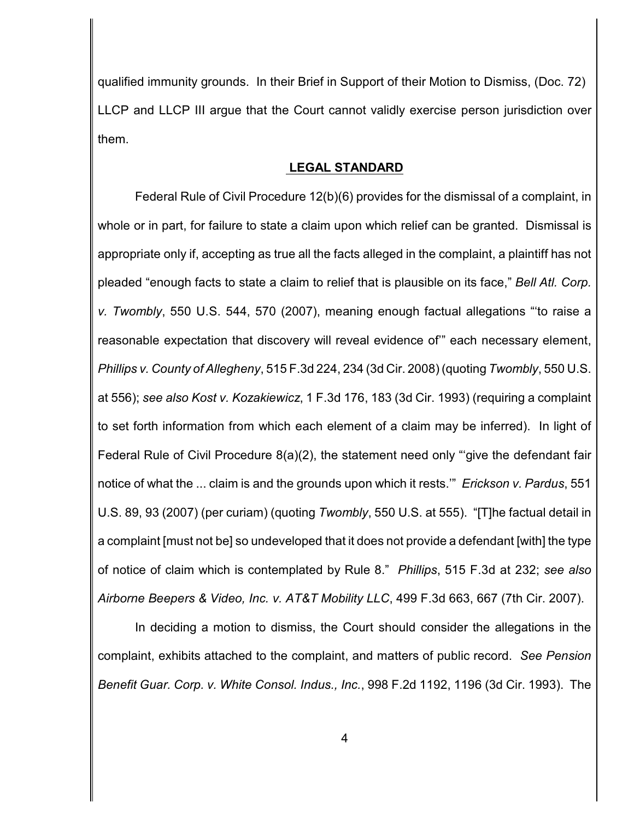qualified immunity grounds. In their Brief in Support of their Motion to Dismiss, (Doc. 72) LLCP and LLCP III argue that the Court cannot validly exercise person jurisdiction over them.

#### **LEGAL STANDARD**

Federal Rule of Civil Procedure 12(b)(6) provides for the dismissal of a complaint, in whole or in part, for failure to state a claim upon which relief can be granted. Dismissal is appropriate only if, accepting as true all the facts alleged in the complaint, a plaintiff has not pleaded "enough facts to state a claim to relief that is plausible on its face," *Bell Atl. Corp. v. Twombly*, 550 U.S. 544, 570 (2007), meaning enough factual allegations "'to raise a reasonable expectation that discovery will reveal evidence of'" each necessary element, *Phillips v. County of Allegheny*, 515 F.3d 224, 234 (3d Cir. 2008) (quoting *Twombly*, 550 U.S. at 556); *see also Kost v. Kozakiewicz*, 1 F.3d 176, 183 (3d Cir. 1993) (requiring a complaint to set forth information from which each element of a claim may be inferred). In light of Federal Rule of Civil Procedure 8(a)(2), the statement need only "'give the defendant fair notice of what the ... claim is and the grounds upon which it rests.'" *Erickson v. Pardus*, 551 U.S. 89, 93 (2007) (per curiam) (quoting *Twombly*, 550 U.S. at 555). "[T]he factual detail in a complaint [must not be] so undeveloped that it does not provide a defendant [with] the type of notice of claim which is contemplated by Rule 8." *Phillips*, 515 F.3d at 232; *see also Airborne Beepers & Video, Inc. v. AT&T Mobility LLC*, 499 F.3d 663, 667 (7th Cir. 2007).

In deciding a motion to dismiss, the Court should consider the allegations in the complaint, exhibits attached to the complaint, and matters of public record. *See Pension Benefit Guar. Corp. v. White Consol. Indus., Inc.*, 998 F.2d 1192, 1196 (3d Cir. 1993). The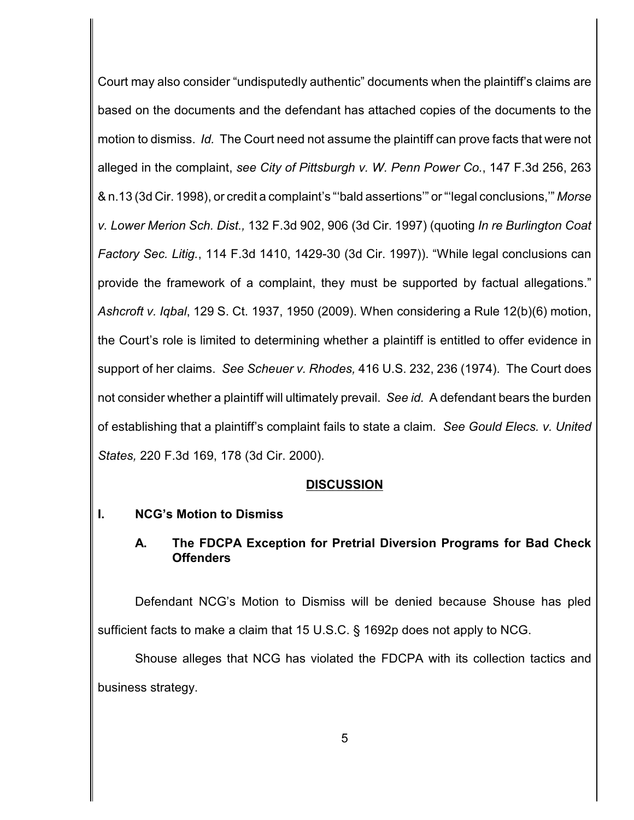Court may also consider "undisputedly authentic" documents when the plaintiff's claims are based on the documents and the defendant has attached copies of the documents to the motion to dismiss. *Id.* The Court need not assume the plaintiff can prove facts that were not alleged in the complaint, *see City of Pittsburgh v. W. Penn Power Co.*, 147 F.3d 256, 263 & n.13 (3d Cir. 1998), or credit a complaint's "'bald assertions'" or "'legal conclusions,'" *Morse v. Lower Merion Sch. Dist.,* 132 F.3d 902, 906 (3d Cir. 1997) (quoting *In re Burlington Coat Factory Sec. Litig.*, 114 F.3d 1410, 1429-30 (3d Cir. 1997)). "While legal conclusions can provide the framework of a complaint, they must be supported by factual allegations." *Ashcroft v. Iqbal*, 129 S. Ct. 1937, 1950 (2009). When considering a Rule 12(b)(6) motion, the Court's role is limited to determining whether a plaintiff is entitled to offer evidence in support of her claims. *See Scheuer v. Rhodes,* 416 U.S. 232, 236 (1974). The Court does not consider whether a plaintiff will ultimately prevail. *See id.* A defendant bears the burden of establishing that a plaintiff's complaint fails to state a claim. *See Gould Elecs. v. United States,* 220 F.3d 169, 178 (3d Cir. 2000).

### **DISCUSSION**

### **I. NCG's Motion to Dismiss**

## **A. The FDCPA Exception for Pretrial Diversion Programs for Bad Check Offenders**

Defendant NCG's Motion to Dismiss will be denied because Shouse has pled sufficient facts to make a claim that 15 U.S.C. § 1692p does not apply to NCG.

Shouse alleges that NCG has violated the FDCPA with its collection tactics and business strategy.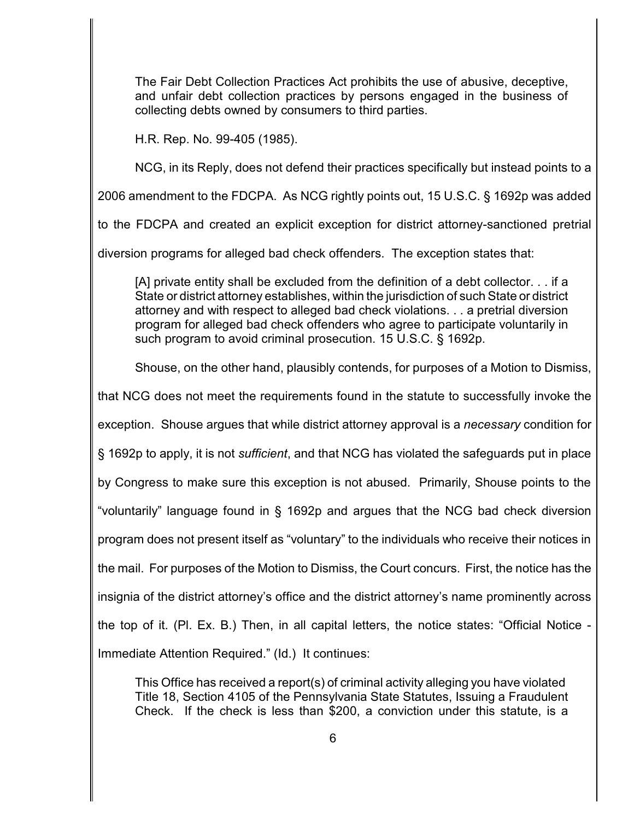The Fair Debt Collection Practices Act prohibits the use of abusive, deceptive, and unfair debt collection practices by persons engaged in the business of collecting debts owned by consumers to third parties.

H.R. Rep. No. 99-405 (1985).

NCG, in its Reply, does not defend their practices specifically but instead points to a

2006 amendment to the FDCPA. As NCG rightly points out, 15 U.S.C. § 1692p was added

to the FDCPA and created an explicit exception for district attorney-sanctioned pretrial

diversion programs for alleged bad check offenders. The exception states that:

[A] private entity shall be excluded from the definition of a debt collector. . . if a State or district attorney establishes, within the jurisdiction of such State or district attorney and with respect to alleged bad check violations. . . a pretrial diversion program for alleged bad check offenders who agree to participate voluntarily in such program to avoid criminal prosecution. 15 U.S.C. § 1692p.

Shouse, on the other hand, plausibly contends, for purposes of a Motion to Dismiss,

that NCG does not meet the requirements found in the statute to successfully invoke the

exception. Shouse argues that while district attorney approval is a *necessary* condition for

§ 1692p to apply, it is not *sufficient*, and that NCG has violated the safeguards put in place

by Congress to make sure this exception is not abused. Primarily, Shouse points to the

"voluntarily" language found in § 1692p and argues that the NCG bad check diversion

program does not present itself as "voluntary" to the individuals who receive their notices in

the mail. For purposes of the Motion to Dismiss, the Court concurs. First, the notice has the

insignia of the district attorney's office and the district attorney's name prominently across

the top of it. (Pl. Ex. B.) Then, in all capital letters, the notice states: "Official Notice -

Immediate Attention Required." (Id.) It continues:

This Office has received a report(s) of criminal activity alleging you have violated Title 18, Section 4105 of the Pennsylvania State Statutes, Issuing a Fraudulent Check. If the check is less than \$200, a conviction under this statute, is a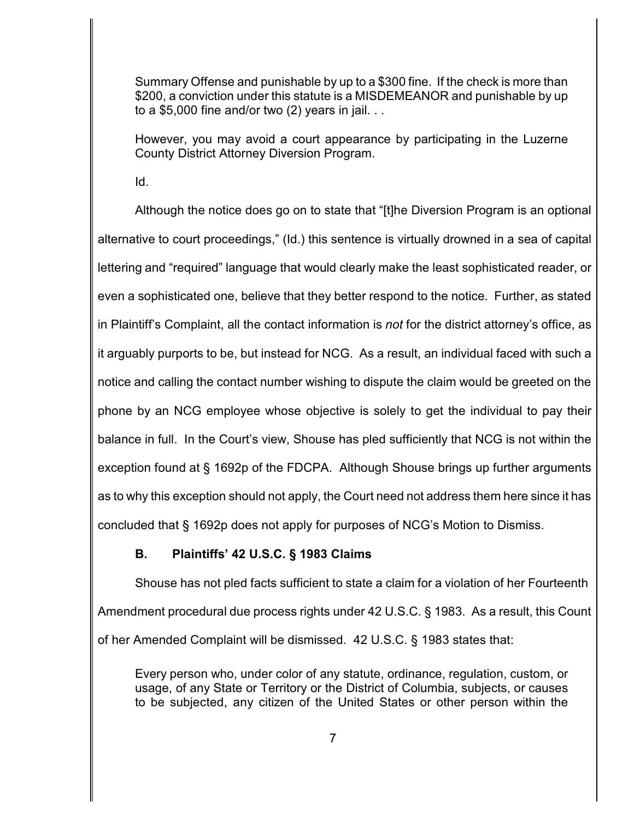Summary Offense and punishable by up to a \$300 fine. If the check is more than \$200, a conviction under this statute is a MISDEMEANOR and punishable by up to a \$5,000 fine and/or two  $(2)$  years in jail. . .

However, you may avoid a court appearance by participating in the Luzerne County District Attorney Diversion Program.

Id.

Although the notice does go on to state that "[t]he Diversion Program is an optional alternative to court proceedings," (Id.) this sentence is virtually drowned in a sea of capital lettering and "required" language that would clearly make the least sophisticated reader, or even a sophisticated one, believe that they better respond to the notice. Further, as stated in Plaintiff's Complaint, all the contact information is *not* for the district attorney's office, as it arguably purports to be, but instead for NCG. As a result, an individual faced with such a notice and calling the contact number wishing to dispute the claim would be greeted on the phone by an NCG employee whose objective is solely to get the individual to pay their balance in full. In the Court's view, Shouse has pled sufficiently that NCG is not within the exception found at § 1692p of the FDCPA. Although Shouse brings up further arguments as to why this exception should not apply, the Court need not address them here since it has concluded that § 1692p does not apply for purposes of NCG's Motion to Dismiss.

## **B. Plaintiffs' 42 U.S.C. § 1983 Claims**

Shouse has not pled facts sufficient to state a claim for a violation of her Fourteenth Amendment procedural due process rights under 42 U.S.C. § 1983. As a result, this Count of her Amended Complaint will be dismissed. 42 U.S.C. § 1983 states that:

Every person who, under color of any statute, ordinance, regulation, custom, or usage, of any State or Territory or the District of Columbia, subjects, or causes to be subjected, any citizen of the United States or other person within the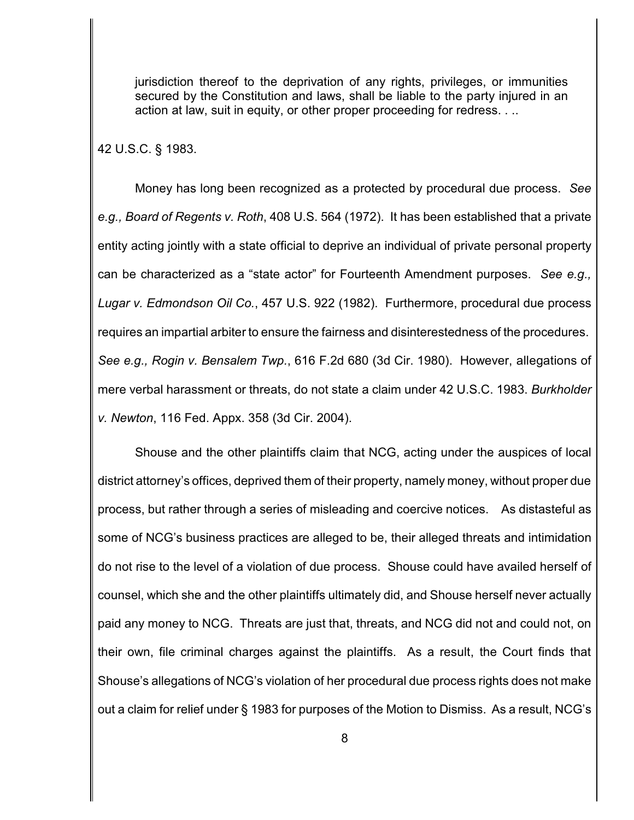jurisdiction thereof to the deprivation of any rights, privileges, or immunities secured by the Constitution and laws, shall be liable to the party injured in an action at law, suit in equity, or other proper proceeding for redress. . ..

42 U.S.C. § 1983.

Money has long been recognized as a protected by procedural due process. *See e.g., Board of Regents v. Roth*, 408 U.S. 564 (1972). It has been established that a private entity acting jointly with a state official to deprive an individual of private personal property can be characterized as a "state actor" for Fourteenth Amendment purposes. *See e.g., Lugar v. Edmondson Oil Co.*, 457 U.S. 922 (1982). Furthermore, procedural due process requires an impartial arbiter to ensure the fairness and disinterestedness of the procedures. *See e.g., Rogin v. Bensalem Twp.*, 616 F.2d 680 (3d Cir. 1980). However, allegations of mere verbal harassment or threats, do not state a claim under 42 U.S.C. 1983. *Burkholder v. Newton*, 116 Fed. Appx. 358 (3d Cir. 2004).

Shouse and the other plaintiffs claim that NCG, acting under the auspices of local district attorney's offices, deprived them of their property, namely money, without proper due process, but rather through a series of misleading and coercive notices. As distasteful as some of NCG's business practices are alleged to be, their alleged threats and intimidation do not rise to the level of a violation of due process. Shouse could have availed herself of counsel, which she and the other plaintiffs ultimately did, and Shouse herself never actually paid any money to NCG. Threats are just that, threats, and NCG did not and could not, on their own, file criminal charges against the plaintiffs. As a result, the Court finds that Shouse's allegations of NCG's violation of her procedural due process rights does not make out a claim for relief under § 1983 for purposes of the Motion to Dismiss. As a result, NCG's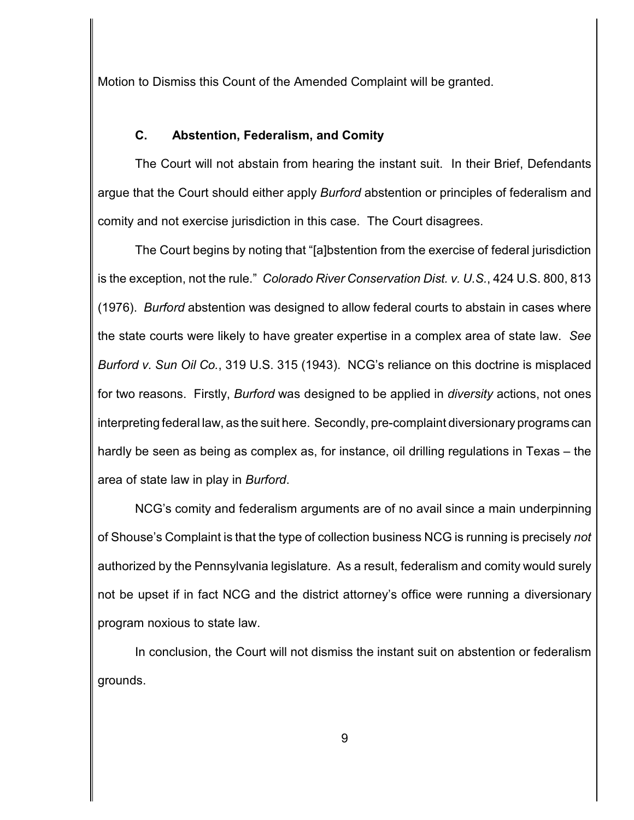Motion to Dismiss this Count of the Amended Complaint will be granted.

## **C. Abstention, Federalism, and Comity**

The Court will not abstain from hearing the instant suit. In their Brief, Defendants argue that the Court should either apply *Burford* abstention or principles of federalism and comity and not exercise jurisdiction in this case. The Court disagrees.

The Court begins by noting that "[a]bstention from the exercise of federal jurisdiction is the exception, not the rule." *Colorado River Conservation Dist. v. U.S.*, 424 U.S. 800, 813 (1976). *Burford* abstention was designed to allow federal courts to abstain in cases where the state courts were likely to have greater expertise in a complex area of state law. *See Burford v. Sun Oil Co.*, 319 U.S. 315 (1943). NCG's reliance on this doctrine is misplaced for two reasons. Firstly, *Burford* was designed to be applied in *diversity* actions, not ones interpreting federal law, as the suit here. Secondly, pre-complaint diversionary programs can hardly be seen as being as complex as, for instance, oil drilling regulations in Texas – the area of state law in play in *Burford*.

NCG's comity and federalism arguments are of no avail since a main underpinning of Shouse's Complaint is that the type of collection business NCG is running is precisely *not* authorized by the Pennsylvania legislature. As a result, federalism and comity would surely not be upset if in fact NCG and the district attorney's office were running a diversionary program noxious to state law.

In conclusion, the Court will not dismiss the instant suit on abstention or federalism grounds.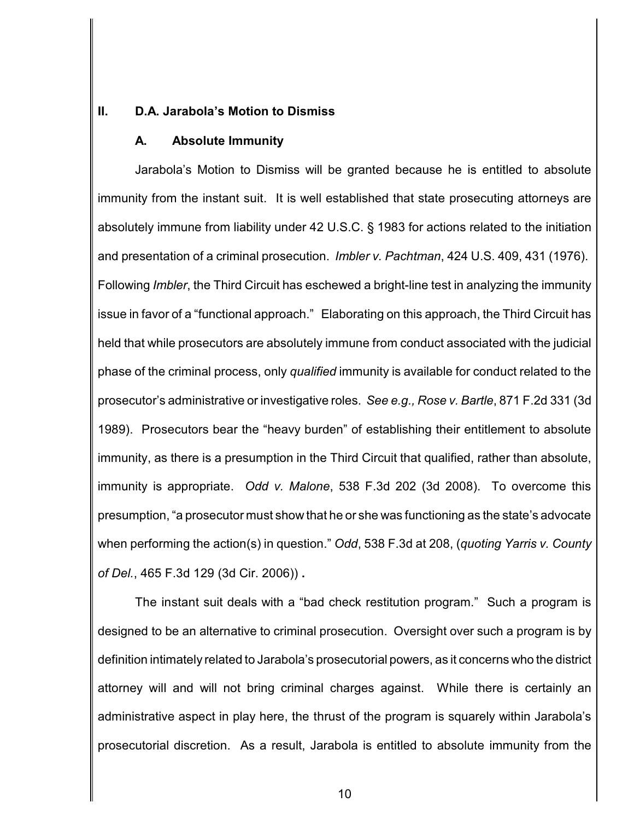### **II. D.A. Jarabola's Motion to Dismiss**

#### **A. Absolute Immunity**

Jarabola's Motion to Dismiss will be granted because he is entitled to absolute immunity from the instant suit. It is well established that state prosecuting attorneys are absolutely immune from liability under 42 U.S.C. § 1983 for actions related to the initiation and presentation of a criminal prosecution. *Imbler v. Pachtman*, 424 U.S. 409, 431 (1976). Following *Imbler*, the Third Circuit has eschewed a bright-line test in analyzing the immunity issue in favor of a "functional approach." Elaborating on this approach, the Third Circuit has held that while prosecutors are absolutely immune from conduct associated with the judicial phase of the criminal process, only *qualified* immunity is available for conduct related to the prosecutor's administrative or investigative roles. *See e.g., Rose v. Bartle*, 871 F.2d 331 (3d 1989). Prosecutors bear the "heavy burden" of establishing their entitlement to absolute immunity, as there is a presumption in the Third Circuit that qualified, rather than absolute, immunity is appropriate. *Odd v. Malone*, 538 F.3d 202 (3d 2008). To overcome this presumption, "a prosecutor must show that he or she was functioning as the state's advocate when performing the action(s) in question." *Odd*, 538 F.3d at 208, (*quoting Yarris v. County of Del.*, 465 F.3d 129 (3d Cir. 2006)) **.**

The instant suit deals with a "bad check restitution program." Such a program is designed to be an alternative to criminal prosecution. Oversight over such a program is by definition intimately related to Jarabola's prosecutorial powers, as it concerns who the district attorney will and will not bring criminal charges against. While there is certainly an administrative aspect in play here, the thrust of the program is squarely within Jarabola's prosecutorial discretion. As a result, Jarabola is entitled to absolute immunity from the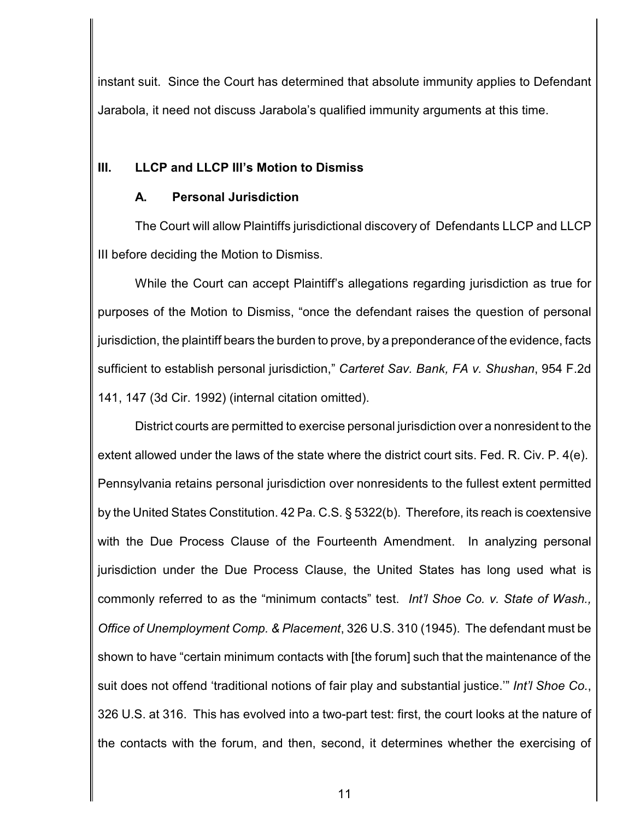instant suit. Since the Court has determined that absolute immunity applies to Defendant Jarabola, it need not discuss Jarabola's qualified immunity arguments at this time.

## **III. LLCP and LLCP III's Motion to Dismiss**

### **A. Personal Jurisdiction**

The Court will allow Plaintiffs jurisdictional discovery of Defendants LLCP and LLCP III before deciding the Motion to Dismiss.

While the Court can accept Plaintiff's allegations regarding jurisdiction as true for purposes of the Motion to Dismiss, "once the defendant raises the question of personal jurisdiction, the plaintiff bears the burden to prove, by a preponderance of the evidence, facts sufficient to establish personal jurisdiction," *Carteret Sav. Bank, FA v. Shushan*, 954 F.2d 141, 147 (3d Cir. 1992) (internal citation omitted).

District courts are permitted to exercise personal jurisdiction over a nonresident to the extent allowed under the laws of the state where the district court sits. Fed. R. Civ. P. 4(e). Pennsylvania retains personal jurisdiction over nonresidents to the fullest extent permitted by the United States Constitution. 42 Pa. C.S. § 5322(b). Therefore, its reach is coextensive with the Due Process Clause of the Fourteenth Amendment. In analyzing personal jurisdiction under the Due Process Clause, the United States has long used what is commonly referred to as the "minimum contacts" test. *Int'l Shoe Co. v. State of Wash., Office of Unemployment Comp. & Placement*, 326 U.S. 310 (1945). The defendant must be shown to have "certain minimum contacts with [the forum] such that the maintenance of the suit does not offend 'traditional notions of fair play and substantial justice.'" *Int'l Shoe Co.*, 326 U.S. at 316. This has evolved into a two-part test: first, the court looks at the nature of the contacts with the forum, and then, second, it determines whether the exercising of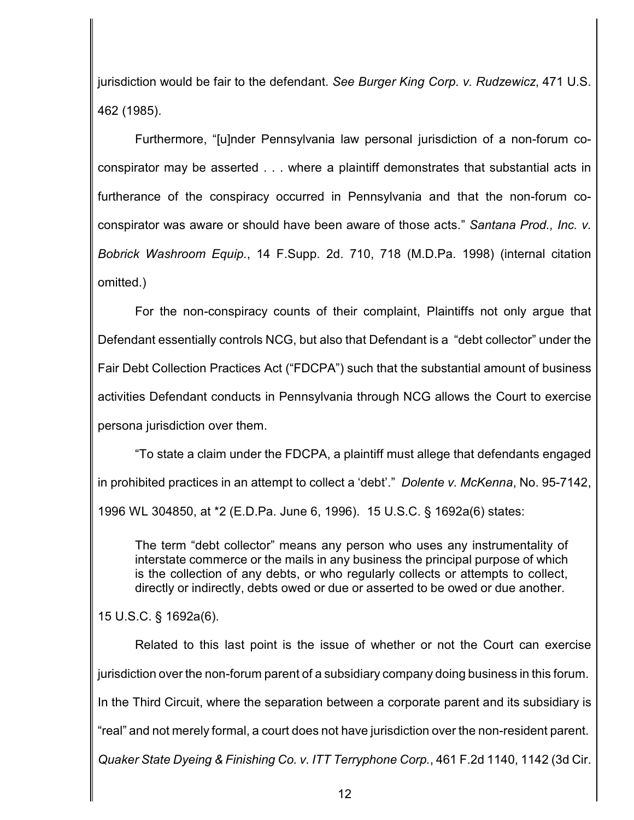jurisdiction would be fair to the defendant. *See Burger King Corp. v. Rudzewicz*, 471 U.S. 462 (1985).

Furthermore, "[u]nder Pennsylvania law personal jurisdiction of a non-forum coconspirator may be asserted . . . where a plaintiff demonstrates that substantial acts in furtherance of the conspiracy occurred in Pennsylvania and that the non-forum coconspirator was aware or should have been aware of those acts." *Santana Prod., Inc. v. Bobrick Washroom Equip.*, 14 F.Supp. 2d. 710, 718 (M.D.Pa. 1998) (internal citation omitted.)

For the non-conspiracy counts of their complaint, Plaintiffs not only argue that Defendant essentially controls NCG, but also that Defendant is a "debt collector" under the Fair Debt Collection Practices Act ("FDCPA") such that the substantial amount of business activities Defendant conducts in Pennsylvania through NCG allows the Court to exercise persona jurisdiction over them.

"To state a claim under the FDCPA, a plaintiff must allege that defendants engaged in prohibited practices in an attempt to collect a 'debt'." *Dolente v. McKenna*, No. 95-7142, 1996 WL 304850, at \*2 (E.D.Pa. June 6, 1996). 15 U.S.C. § 1692a(6) states:

The term "debt collector" means any person who uses any instrumentality of interstate commerce or the mails in any business the principal purpose of which is the collection of any debts, or who regularly collects or attempts to collect, directly or indirectly, debts owed or due or asserted to be owed or due another.

15 U.S.C. § 1692a(6).

Related to this last point is the issue of whether or not the Court can exercise jurisdiction over the non-forum parent of a subsidiary company doing business in this forum. In the Third Circuit, where the separation between a corporate parent and its subsidiary is "real" and not merely formal, a court does not have jurisdiction over the non-resident parent. *Quaker State Dyeing & Finishing Co. v. ITT Terryphone Corp.*, 461 F.2d 1140, 1142 (3d Cir.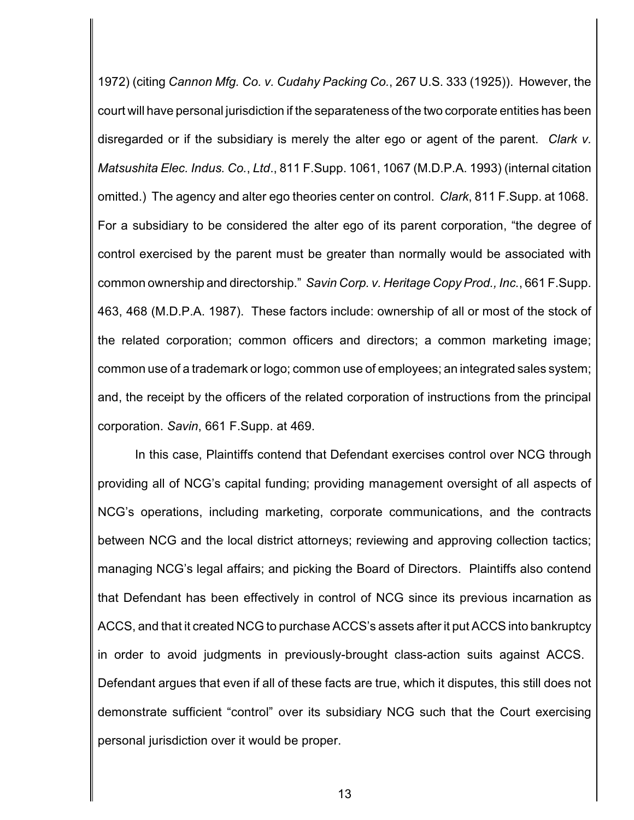1972) (citing *Cannon Mfg. Co. v. Cudahy Packing Co.*, 267 U.S. 333 (1925)). However, the court will have personal jurisdiction if the separateness of the two corporate entities has been disregarded or if the subsidiary is merely the alter ego or agent of the parent. *Clark v. Matsushita Elec. Indus. Co.*, *Ltd*., 811 F.Supp. 1061, 1067 (M.D.P.A. 1993) (internal citation omitted.) The agency and alter ego theories center on control. *Clark*, 811 F.Supp. at 1068. For a subsidiary to be considered the alter ego of its parent corporation, "the degree of control exercised by the parent must be greater than normally would be associated with common ownership and directorship." *Savin Corp. v. Heritage Copy Prod., Inc.*, 661 F.Supp. 463, 468 (M.D.P.A. 1987). These factors include: ownership of all or most of the stock of the related corporation; common officers and directors; a common marketing image; common use of a trademark or logo; common use of employees; an integrated sales system; and, the receipt by the officers of the related corporation of instructions from the principal corporation. *Savin*, 661 F.Supp. at 469.

In this case, Plaintiffs contend that Defendant exercises control over NCG through providing all of NCG's capital funding; providing management oversight of all aspects of NCG's operations, including marketing, corporate communications, and the contracts between NCG and the local district attorneys; reviewing and approving collection tactics; managing NCG's legal affairs; and picking the Board of Directors. Plaintiffs also contend that Defendant has been effectively in control of NCG since its previous incarnation as ACCS, and that it created NCG to purchase ACCS's assets after it put ACCS into bankruptcy in order to avoid judgments in previously-brought class-action suits against ACCS. Defendant argues that even if all of these facts are true, which it disputes, this still does not demonstrate sufficient "control" over its subsidiary NCG such that the Court exercising personal jurisdiction over it would be proper.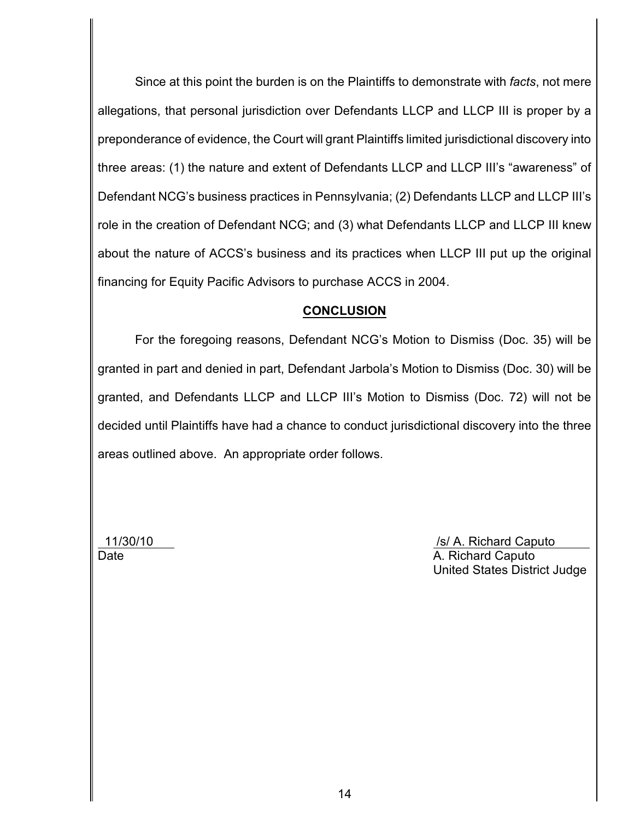Since at this point the burden is on the Plaintiffs to demonstrate with *facts*, not mere allegations, that personal jurisdiction over Defendants LLCP and LLCP III is proper by a preponderance of evidence, the Court will grant Plaintiffs limited jurisdictional discovery into three areas: (1) the nature and extent of Defendants LLCP and LLCP III's "awareness" of Defendant NCG's business practices in Pennsylvania; (2) Defendants LLCP and LLCP III's role in the creation of Defendant NCG; and (3) what Defendants LLCP and LLCP III knew about the nature of ACCS's business and its practices when LLCP III put up the original financing for Equity Pacific Advisors to purchase ACCS in 2004.

### **CONCLUSION**

For the foregoing reasons, Defendant NCG's Motion to Dismiss (Doc. 35) will be granted in part and denied in part, Defendant Jarbola's Motion to Dismiss (Doc. 30) will be granted, and Defendants LLCP and LLCP III's Motion to Dismiss (Doc. 72) will not be decided until Plaintiffs have had a chance to conduct jurisdictional discovery into the three areas outlined above. An appropriate order follows.

11/30/10 /s/ A. Richard Caputo Date **A. Richard Caputo** A. Richard Caputo United States District Judge